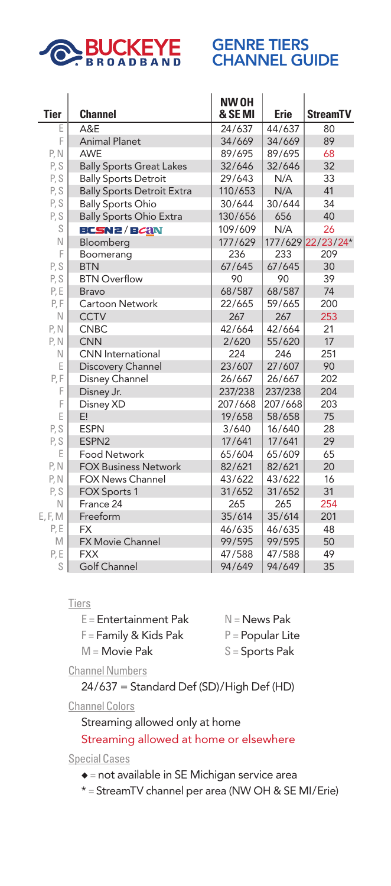

## GENRE TIERS **CHANNEL GUIDE**

 $\sim$ 

|             |                                   | <b>NW OH</b> |             |                   |
|-------------|-----------------------------------|--------------|-------------|-------------------|
| <b>Tier</b> | <b>Channel</b>                    | & SE MI      | <b>Erie</b> | <b>StreamTV</b>   |
| Е           | A&E                               | 24/637       | 44/637      | 80                |
| F           | <b>Animal Planet</b>              | 34/669       | 34/669      | 89                |
| P, N        | AWE                               | 89/695       | 89/695      | 68                |
| P, S        | <b>Bally Sports Great Lakes</b>   | 32/646       | 32/646      | 32                |
| P, S        | <b>Bally Sports Detroit</b>       | 29/643       | N/A         | 33                |
| P, S        | <b>Bally Sports Detroit Extra</b> | 110/653      | N/A         | 41                |
| P, S        | <b>Bally Sports Ohio</b>          | 30/644       | 30/644      | 34                |
| P, S        | <b>Bally Sports Ohio Extra</b>    | 130/656      | 656         | 40                |
| S           | <b>BCSN2/BCAN</b>                 | 109/609      | N/A         | 26                |
| N           | Bloomberg                         | 177/629      |             | 177/629 22/23/24* |
| F           | Boomerang                         | 236          | 233         | 209               |
| P, S        | <b>BTN</b>                        | 67/645       | 67/645      | 30                |
| P, S        | <b>BTN Overflow</b>               | 90           | 90          | 39                |
| P, E        | <b>Bravo</b>                      | 68/587       | 68/587      | 74                |
| P, F        | Cartoon Network                   | 22/665       | 59/665      | 200               |
| N           | <b>CCTV</b>                       | 267          | 267         | 253               |
| P, N        | <b>CNBC</b>                       | 42/664       | 42/664      | 21                |
| P, N        | <b>CNN</b>                        | 2/620        | 55/620      | 17                |
| N           | <b>CNN</b> International          | 224          | 246         | 251               |
| Е           | Discovery Channel                 | 23/607       | 27/607      | 90                |
| P, F        | Disney Channel                    | 26/667       | 26/667      | 202               |
| F           | Disney Jr.                        | 237/238      | 237/238     | 204               |
| F           | Disney XD                         | 207/668      | 207/668     | 203               |
| E           | E!                                | 19/658       | 58/658      | 75                |
| P, S        | <b>ESPN</b>                       | 3/640        | 16/640      | 28                |
| P, S        | ESPN2                             | 17/641       | 17/641      | 29                |
| E           | <b>Food Network</b>               | 65/604       | 65/609      | 65                |
| P, N        | <b>FOX Business Network</b>       | 82/621       | 82/621      | 20                |
| P, N        | <b>FOX News Channel</b>           | 43/622       | 43/622      | 16                |
| P, S        | <b>FOX Sports 1</b>               | 31/652       | 31/652      | 31                |
| N           | France 24                         | 265          | 265         | 254               |
| E, F, M     | Freeform                          | 35/614       | 35/614      | 201               |
| P, E        | <b>FX</b>                         | 46/635       | 46/635      | 48                |
| M           | <b>FX Movie Channel</b>           | 99/595       | 99/595      | 50                |
| P, E        | <b>FXX</b>                        | 47/588       | 47/588      | 49                |
| S           | Golf Channel                      | 94/649       | 94/649      | 35                |

## **Tiers**

| $N =$ News Pak     |
|--------------------|
| $P =$ Popular Lite |
| $S =$ Sports Pak   |
|                    |

Channel Numbers

24/637 = Standard Def (SD)/High Def (HD)

Channel Colors

Streaming allowed only at home

## Streaming allowed at home or elsewhere

Special Cases

- $\bullet$  = not available in SE Michigan service area
- \* = StreamTV channel per area (NW OH & SE MI/Erie)